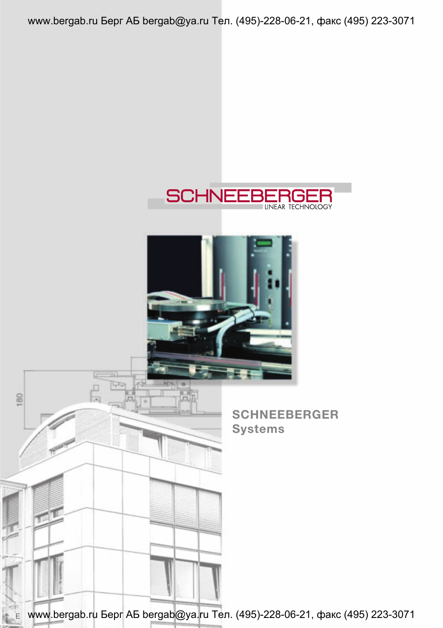www.bergab.ru Берг АБ bergab@ya.ru Тел. (495)-228-06-21, факс (495) 223-3071



www.bergab.ru Берг АБ bergab@ya.ru Тел. (495)-228-06-21, факс (495) 223-3071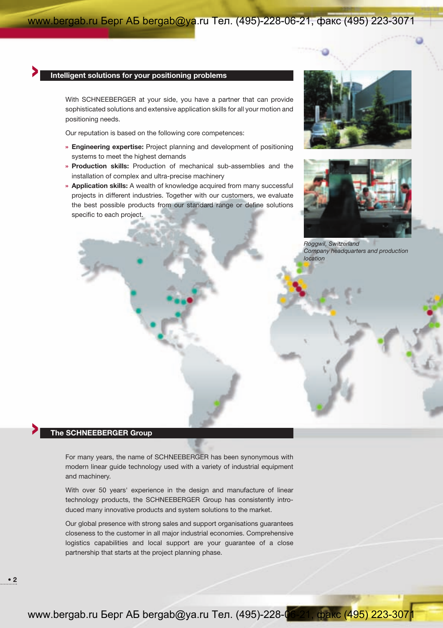# **> Intelligent solutions for your positioning problems**

With SCHNEEBERGER at your side, you have a partner that can provide sophisticated solutions and extensive application skills for all your motion and positioning needs.

Our reputation is based on the following core competences:

- **» Engineering expertise:** Project planning and development of positioning systems to meet the highest demands
- **» Production skills:** Production of mechanical sub-assemblies and the installation of complex and ultra-precise machinery
- **» Application skills:** A wealth of knowledge acquired from many successful projects in different industries. Together with our customers, we evaluate the best possible products from our standard range or define solutions specific to each project.





*Roggwil, Switzerland Company headquarters and production location*

# **> The SCHNEEBERGER Group**

For many years, the name of SCHNEEBERGER has been synonymous with modern linear guide technology used with a variety of industrial equipment and machinery.

With over 50 years' experience in the design and manufacture of linear technology products, the SCHNEEBERGER Group has consistently introduced many innovative products and system solutions to the market.

Our global presence with strong sales and support organisations guarantees closeness to the customer in all major industrial economies. Comprehensive logistics capabilities and local support are your guarantee of a close partnership that starts at the project planning phase.

**• 2**

www.bergab.ru Берг АБ bergab@ya.ru Тел. (495)-228-06-21, факс (495) 223-3071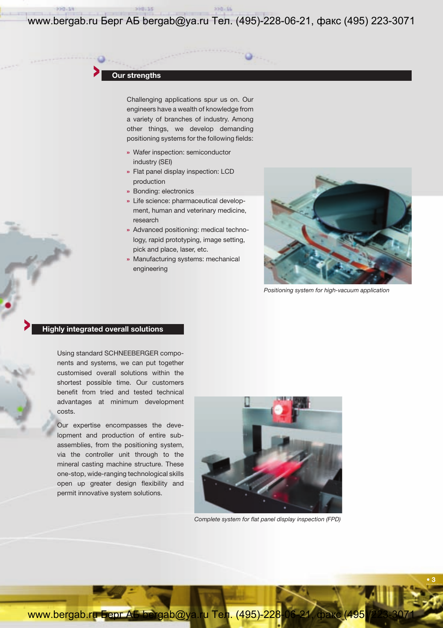www.bergab.ru Берг АБ bergab@ya.ru Тел. (495)-228-06-21, факс (495) 223-3071

# **> Our strengths**

Challenging applications spur us on. Our engineers have a wealth of knowledge from a variety of branches of industry. Among other things, we develop demanding positioning systems for the following fields:

- **»** Wafer inspection: semiconductor industry (SEI)
- **»** Flat panel display inspection: LCD production
- **»** Bonding: electronics
- **»** Life science: pharmaceutical development, human and veterinary medicine, research
- **»** Advanced positioning: medical technology, rapid prototyping, image setting, pick and place, laser, etc.
- **»** Manufacturing systems: mechanical engineering



*Positioning system for high-vacuum application*

**• 3**

## **> Highly integrated overall solutions**

Using standard SCHNEEBERGER components and systems, we can put together customised overall solutions within the shortest possible time. Our customers benefit from tried and tested technical advantages at minimum development costs.

Our expertise encompasses the development and production of entire subassemblies, from the positioning system, via the controller unit through to the mineral casting machine structure. These one-stop, wide-ranging technological skills open up greater design flexibility and permit innovative system solutions.



*Complete system for flat panel display inspection (FPD)*

www.bergab.ru Берг АБ bergab@ya.ru Тел. (495)-228-06-21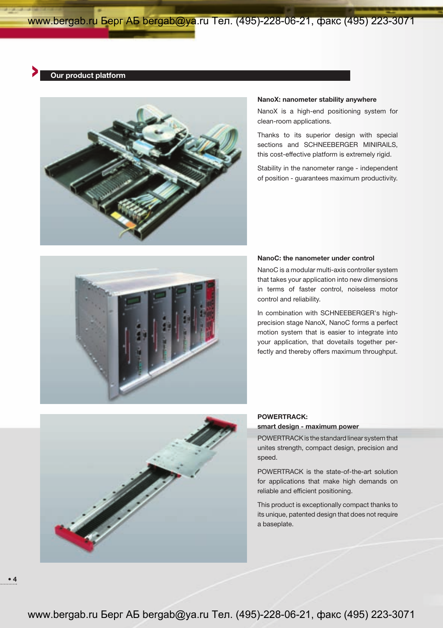## **> Our product platform**



#### **NanoX: nanometer stability anywhere**

NanoX is a high-end positioning system for clean-room applications.

Thanks to its superior design with special sections and SCHNEEBERGER MINIRAILS, this cost-effective platform is extremely rigid.

Stability in the nanometer range - independent of position - guarantees maximum productivity.



### **NanoC: the nanometer under control**

NanoC is a modular multi-axis controller system that takes your application into new dimensions in terms of faster control, noiseless motor control and reliability.

In combination with SCHNEEBERGER's highprecision stage NanoX, NanoC forms a perfect motion system that is easier to integrate into your application, that dovetails together perfectly and thereby offers maximum throughput.



## **POWERTRACK:**

#### **smart design - maximum power**

POWERTRACK is the standard linear system that unites strength, compact design, precision and speed.

POWERTRACK is the state-of-the-art solution for applications that make high demands on reliable and efficient positioning.

This product is exceptionally compact thanks to its unique, patented design that does not require a baseplate.

**• 4**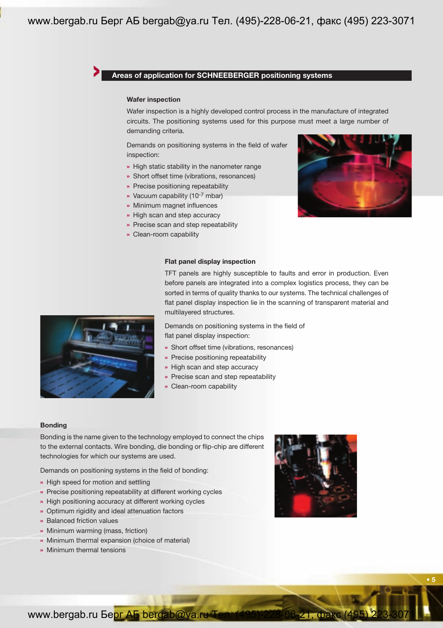# **> Areas of application for SCHNEEBERGER positioning systems**

## **Wafer inspection**

Wafer inspection is a highly developed control process in the manufacture of integrated circuits. The positioning systems used for this purpose must meet a large number of demanding criteria.

Demands on positioning systems in the field of wafer inspection:

- **»** High static stability in the nanometer range
- **»** Short offset time (vibrations, resonances)
- **»** Precise positioning repeatability
- **»** Vacuum capability (10-7 mbar)
- **»** Minimum magnet influences
- **»** High scan and step accuracy
- **»** Precise scan and step repeatability
- **»** Clean-room capability



## **Flat panel display inspection**

TFT panels are highly susceptible to faults and error in production. Even before panels are integrated into a complex logistics process, they can be sorted in terms of quality thanks to our systems. The technical challenges of flat panel display inspection lie in the scanning of transparent material and multilayered structures.

Demands on positioning systems in the field of flat panel display inspection:

- **»** Short offset time (vibrations, resonances)
- **»** Precise positioning repeatability
- **»** High scan and step accuracy
- **»** Precise scan and step repeatability
- **»** Clean-room capability

### **Bonding**

Bonding is the name given to the technology employed to connect the chips to the external contacts. Wire bonding, die bonding or flip-chip are different technologies for which our systems are used.

Demands on positioning systems in the field of bonding:

- **»** High speed for motion and settling
- **»** Precise positioning repeatability at different working cycles
- **»** High positioning accuracy at different working cycles
- **»** Optimum rigidity and ideal attenuation factors
- **»** Balanced friction values
- **»** Minimum warming (mass, friction)
- **»** Minimum thermal expansion (choice of material)
- **»** Minimum thermal tensions



**• 5**

www.bergab.ru Берг АБ bergab@ya.ru Тел. (495)-228-06-21, фак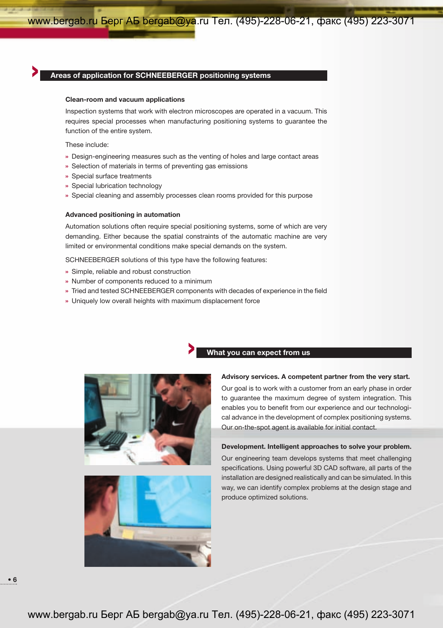# **> Areas of application for SCHNEEBERGER positioning systems**

#### **Clean-room and vacuum applications**

Inspection systems that work with electron microscopes are operated in a vacuum. This requires special processes when manufacturing positioning systems to guarantee the function of the entire system.

These include:

- **»** Design-engineering measures such as the venting of holes and large contact areas
- **»** Selection of materials in terms of preventing gas emissions
- **»** Special surface treatments
- **»** Special lubrication technology
- **»** Special cleaning and assembly processes clean rooms provided for this purpose

#### **Advanced positioning in automation**

Automation solutions often require special positioning systems, some of which are very demanding. Either because the spatial constraints of the automatic machine are very limited or environmental conditions make special demands on the system.

SCHNEEBERGER solutions of this type have the following features:

- **»** Simple, reliable and robust construction
- **»** Number of components reduced to a minimum
- **»** Tried and tested SCHNEEBERGER components with decades of experience in the field
- **»** Uniquely low overall heights with maximum displacement force





# **> What you can expect from us**

### **Advisory services. A competent partner from the very start.**

Our goal is to work with a customer from an early phase in order to guarantee the maximum degree of system integration. This enables you to benefit from our experience and our technological advance in the development of complex positioning systems. Our on-the-spot agent is available for initial contact.

### **Development. Intelligent approaches to solve your problem.**

Our engineering team develops systems that meet challenging specifications. Using powerful 3D CAD software, all parts of the installation are designed realistically and can be simulated. In this way, we can identify complex problems at the design stage and produce optimized solutions.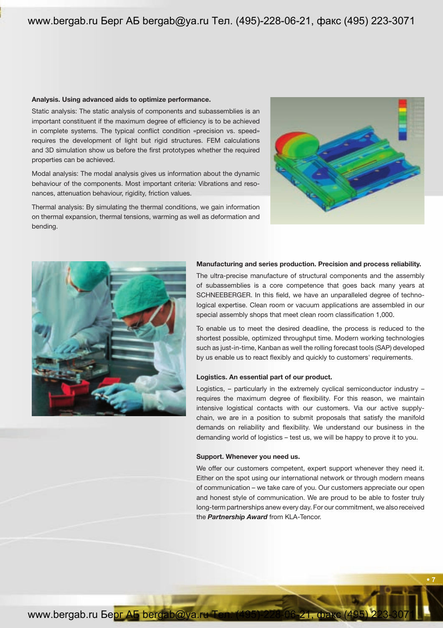### **Analysis. Using advanced aids to optimize performance.**

Static analysis: The static analysis of components and subassemblies is an important constituent if the maximum degree of efficiency is to be achieved in complete systems. The typical conflict condition «precision vs. speed» requires the development of light but rigid structures. FEM calculations and 3D simulation show us before the first prototypes whether the required properties can be achieved.

Modal analysis: The modal analysis gives us information about the dynamic behaviour of the components. Most important criteria: Vibrations and resonances, attenuation behaviour, rigidity, friction values.

Thermal analysis: By simulating the thermal conditions, we gain information on thermal expansion, thermal tensions, warming as well as deformation and bending.





### **Manufacturing and series production. Precision and process reliability.**

The ultra-precise manufacture of structural components and the assembly of subassemblies is a core competence that goes back many years at SCHNEEBERGER. In this field, we have an unparalleled degree of technological expertise. Clean room or vacuum applications are assembled in our special assembly shops that meet clean room classification 1,000.

To enable us to meet the desired deadline, the process is reduced to the shortest possible, optimized throughput time. Modern working technologies such as just-in-time, Kanban as well the rolling forecast tools (SAP) developed by us enable us to react flexibly and quickly to customers' requirements.

#### **Logistics. An essential part of our product.**

Logistics, – particularly in the extremely cyclical semiconductor industry – requires the maximum degree of flexibility. For this reason, we maintain intensive logistical contacts with our customers. Via our active supplychain, we are in a position to submit proposals that satisfy the manifold demands on reliability and flexibility. We understand our business in the demanding world of logistics – test us, we will be happy to prove it to you.

### **Support. Whenever you need us.**

We offer our customers competent, expert support whenever they need it. Either on the spot using our international network or through modern means of communication – we take care of you. Our customers appreciate our open and honest style of communication. We are proud to be able to foster truly long-term partnerships anew every day. For our commitment, we also received the *Partnership Award* from KLA-Tencor.

**• 7**

www.bergab.ru Берг АБ bergab@ya.ru Тел. (495) 228-06-21, факс